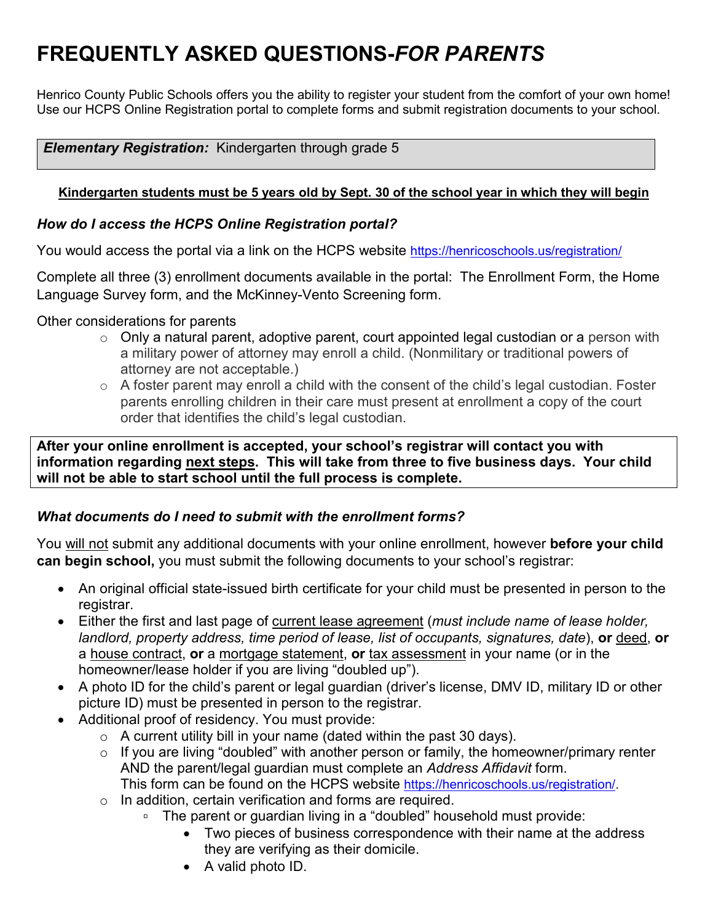Henrico County Public Schools offers you the ability to register your student from the comfort of your own home! Use our HCPS Online Registration portal to complete forms and submit registration documents to your school.

#### *Elementary Registration:* Kindergarten through grade 5

#### **Kindergarten students must be 5 years old by Sept. 30 of the school year in which they will begin**

#### *How do I access the HCPS Online Registration portal?*

You would access the portal via a link on the HCPS website<https://henricoschools.us/registration/>

Complete all three (3) enrollment documents available in the portal: The Enrollment Form, the Home Language Survey form, and the McKinney-Vento Screening form.

Other considerations for parents

- $\circ$  Only a natural parent, adoptive parent, court appointed legal custodian or a person with a military power of attorney may enroll a child. (Nonmilitary or traditional powers of attorney are not acceptable.)
- $\circ$  A foster parent may enroll a child with the consent of the child's legal custodian. Foster parents enrolling children in their care must present at enrollment a copy of the court order that identifies the child's legal custodian.

**After your online enrollment is accepted, your school's registrar will contact you with information regarding next steps. This will take from three to five business days. Your child will not be able to start school until the full process is complete.**

#### *What documents do I need to submit with the enrollment forms?*

You will not submit any additional documents with your online enrollment, however **before your child can begin school,** you must submit the following documents to your school's registrar:

- An original official state-issued birth certificate for your child must be presented in person to the registrar.
- Either the first and last page of current lease agreement (*must include name of lease holder, landlord, property address, time period of lease, list of occupants, signatures, date*), **or** deed, **or**  a house contract, **or** a mortgage statement, **or** tax assessment in your name (or in the homeowner/lease holder if you are living "doubled up").
- A photo ID for the child's parent or legal guardian (driver's license, DMV ID, military ID or other picture ID) must be presented in person to the registrar.
- Additional proof of residency. You must provide:
	- $\circ$  A current utility bill in your name (dated within the past 30 days).
	- o If you are living "doubled" with another person or family, the homeowner/primary renter AND the parent/legal guardian must complete an *Address Affidavit* form.

This form can be found on the HCPS website [https://henricoschools.us/registration/.](https://henricoschools.us/registration/)

- o In addition, certain verification and forms are required.
	- The parent or guardian living in a "doubled" household must provide:
		- Two pieces of business correspondence with their name at the address they are verifying as their domicile.
		- A valid photo ID.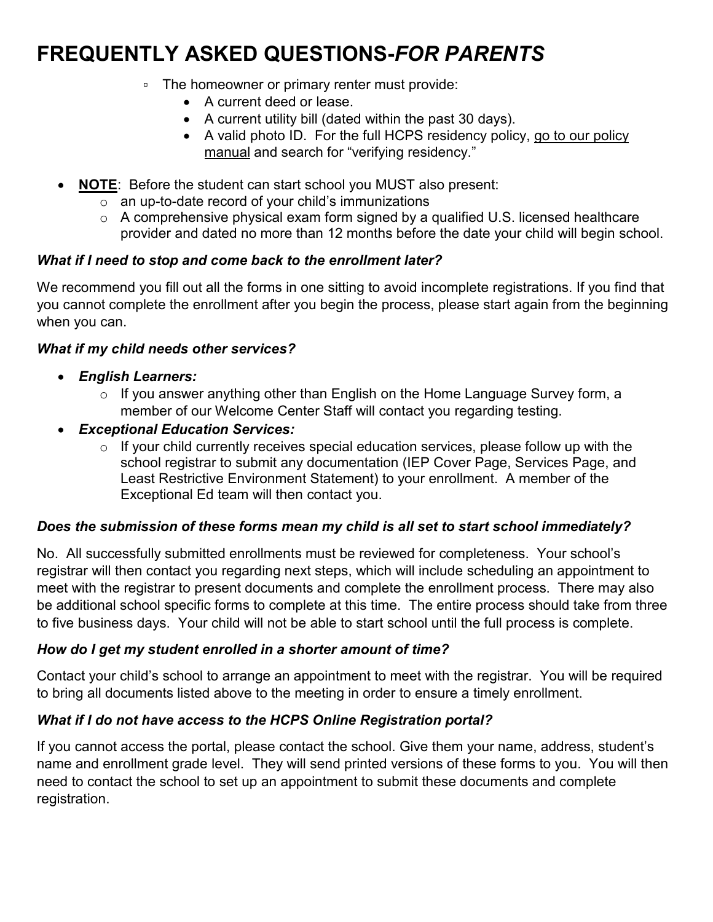- The homeowner or primary renter must provide:
	- A current deed or lease.
	- A current utility bill (dated within the past 30 days).
	- A valid photo ID. For the full HCPS residency policy, go to our policy [manual](https://webapps.henrico.k12.va.us/policy/default.asp) and search for "verifying residency."
- **NOTE:** Before the student can start school you MUST also present:
	- o an up-to-date record of your child's immunizations
	- o A comprehensive physical exam form signed by a qualified U.S. licensed healthcare provider and dated no more than 12 months before the date your child will begin school.

### *What if I need to stop and come back to the enrollment later?*

We recommend you fill out all the forms in one sitting to avoid incomplete registrations. If you find that you cannot complete the enrollment after you begin the process, please start again from the beginning when you can.

### *What if my child needs other services?*

- *English Learners:*
	- o If you answer anything other than English on the Home Language Survey form, a member of our Welcome Center Staff will contact you regarding testing.
- *Exceptional Education Services:*
	- $\circ$  If your child currently receives special education services, please follow up with the school registrar to submit any documentation (IEP Cover Page, Services Page, and Least Restrictive Environment Statement) to your enrollment. A member of the Exceptional Ed team will then contact you.

### *Does the submission of these forms mean my child is all set to start school immediately?*

No. All successfully submitted enrollments must be reviewed for completeness. Your school's registrar will then contact you regarding next steps, which will include scheduling an appointment to meet with the registrar to present documents and complete the enrollment process. There may also be additional school specific forms to complete at this time. The entire process should take from three to five business days. Your child will not be able to start school until the full process is complete.

### *How do I get my student enrolled in a shorter amount of time?*

Contact your child's school to arrange an appointment to meet with the registrar. You will be required to bring all documents listed above to the meeting in order to ensure a timely enrollment.

## *What if I do not have access to the HCPS Online Registration portal?*

If you cannot access the portal, please contact the school. Give them your name, address, student's name and enrollment grade level. They will send printed versions of these forms to you. You will then need to contact the school to set up an appointment to submit these documents and complete registration.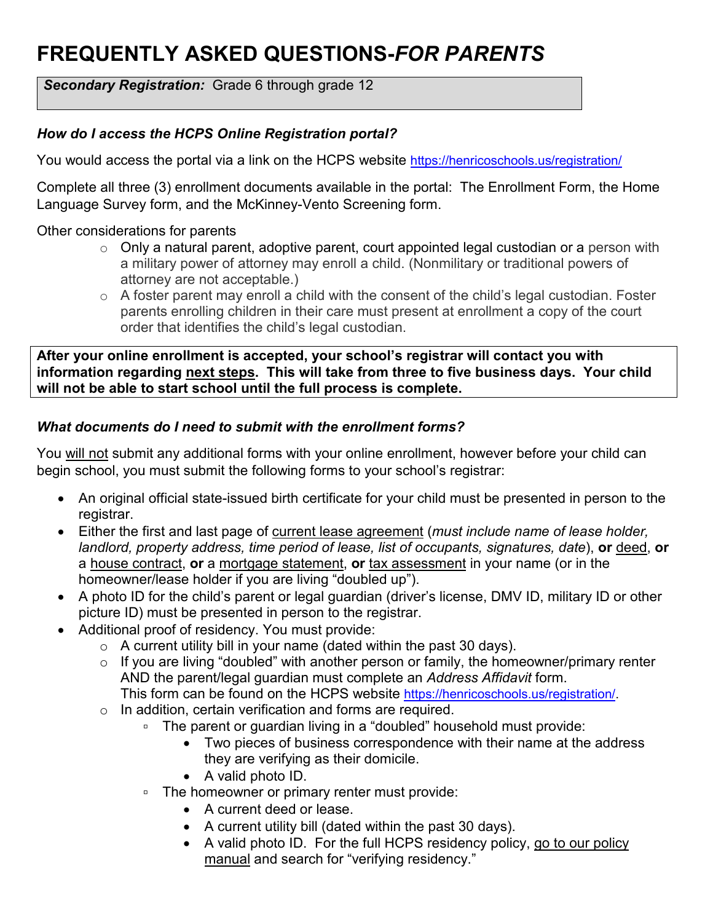**Secondary Registration:** Grade 6 through grade 12

### *How do I access the HCPS Online Registration portal?*

You would access the portal via a link on the HCPS website<https://henricoschools.us/registration/>

Complete all three (3) enrollment documents available in the portal: The Enrollment Form, the Home Language Survey form, and the McKinney-Vento Screening form.

### Other considerations for parents

- $\circ$  Only a natural parent, adoptive parent, court appointed legal custodian or a person with a military power of attorney may enroll a child. (Nonmilitary or traditional powers of attorney are not acceptable.)
- $\circ$  A foster parent may enroll a child with the consent of the child's legal custodian. Foster parents enrolling children in their care must present at enrollment a copy of the court order that identifies the child's legal custodian.

**After your online enrollment is accepted, your school's registrar will contact you with information regarding next steps. This will take from three to five business days. Your child will not be able to start school until the full process is complete.**

### *What documents do I need to submit with the enrollment forms?*

You will not submit any additional forms with your online enrollment, however before your child can begin school, you must submit the following forms to your school's registrar:

- An original official state-issued birth certificate for your child must be presented in person to the registrar.
- Either the first and last page of current lease agreement (*must include name of lease holder, landlord, property address, time period of lease, list of occupants, signatures, date*), **or** deed, **or**  a house contract, **or** a mortgage statement, **or** tax assessment in your name (or in the homeowner/lease holder if you are living "doubled up").
- A photo ID for the child's parent or legal guardian (driver's license, DMV ID, military ID or other picture ID) must be presented in person to the registrar.
- Additional proof of residency. You must provide:
	- $\circ$  A current utility bill in your name (dated within the past 30 days).
	- $\circ$  If you are living "doubled" with another person or family, the homeowner/primary renter AND the parent/legal guardian must complete an *Address Affidavit* form.
		- This form can be found on the HCPS website [https://henricoschools.us/registration/.](https://henricoschools.us/registration/)
	- o In addition, certain verification and forms are required.
		- The parent or guardian living in a "doubled" household must provide:
			- Two pieces of business correspondence with their name at the address they are verifying as their domicile.
			- A valid photo ID.
		- The homeowner or primary renter must provide:
			- A current deed or lease.
			- A current utility bill (dated within the past 30 days).
			- A valid photo ID. For the full HCPS residency policy, [go to our policy](https://webapps.henrico.k12.va.us/policy/default.asp)  [manual](https://webapps.henrico.k12.va.us/policy/default.asp) and search for "verifying residency."